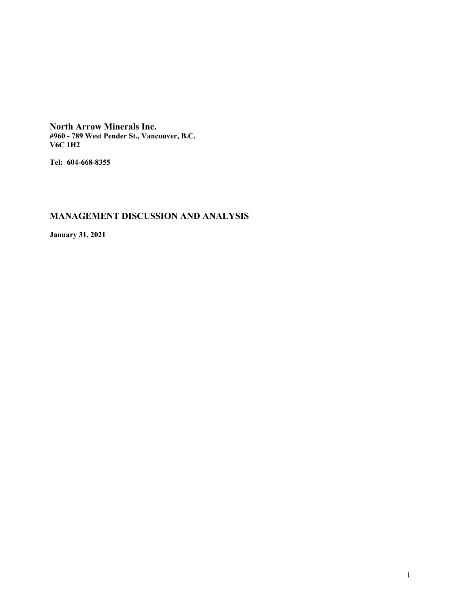**North Arrow Minerals Inc. #960 - 789 West Pender St., Vancouver, B.C. V6C 1H2**

**Tel: 604-668-8355**

# **MANAGEMENT DISCUSSION AND ANALYSIS**

**January 31, 2021**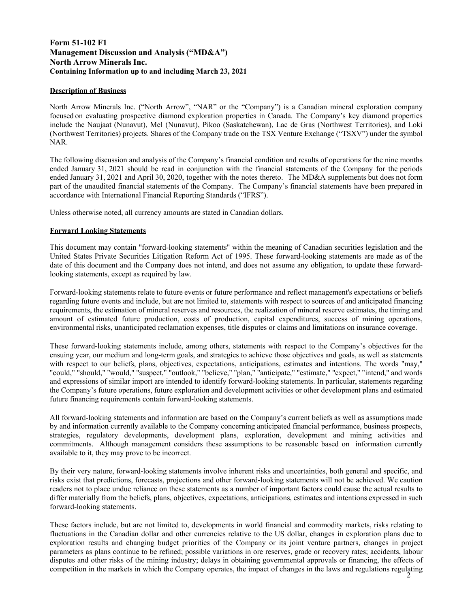# **Form 51-102 F1 Management Discussion and Analysis ("MD&A") North Arrow Minerals Inc. Containing Information up to and including March 23, 2021**

### **Description of Business**

North Arrow Minerals Inc. ("North Arrow", "NAR" or the "Company") is a Canadian mineral exploration company focused on evaluating prospective diamond exploration properties in Canada. The Company's key diamond properties include the Naujaat (Nunavut), Mel (Nunavut), Pikoo (Saskatchewan), Lac de Gras (Northwest Territories), and Loki (Northwest Territories) projects. Shares of the Company trade on the TSX Venture Exchange ("TSXV") under the symbol NAR.

The following discussion and analysis of the Company's financial condition and results of operations for the nine months ended January 31, 2021 should be read in conjunction with the financial statements of the Company for the periods ended January 31, 2021 and April 30, 2020, together with the notes thereto. The MD&A supplements but does not form part of the unaudited financial statements of the Company. The Company's financial statements have been prepared in accordance with International Financial Reporting Standards ("IFRS").

Unless otherwise noted, all currency amounts are stated in Canadian dollars.

### **Forward Looking Statements**

This document may contain "forward-looking statements" within the meaning of Canadian securities legislation and the United States Private Securities Litigation Reform Act of 1995. These forward-looking statements are made as of the date of this document and the Company does not intend, and does not assume any obligation, to update these forwardlooking statements, except as required by law.

Forward-looking statements relate to future events or future performance and reflect management's expectations or beliefs regarding future events and include, but are not limited to, statements with respect to sources of and anticipated financing requirements, the estimation of mineral reserves and resources, the realization of mineral reserve estimates, the timing and amount of estimated future production, costs of production, capital expenditures, success of mining operations, environmental risks, unanticipated reclamation expenses, title disputes or claims and limitations on insurance coverage.

These forward-looking statements include, among others, statements with respect to the Company's objectives for the ensuing year, our medium and long-term goals, and strategies to achieve those objectives and goals, as well as statements with respect to our beliefs, plans, objectives, expectations, anticipations, estimates and intentions. The words "may," "could," "should," "would," "suspect," "outlook," "believe," "plan," "anticipate," "estimate," "expect," "intend," and words and expressions of similar import are intended to identify forward-looking statements. In particular, statements regarding the Company's future operations, future exploration and development activities or other development plans and estimated future financing requirements contain forward-looking statements.

All forward-looking statements and information are based on the Company's current beliefs as well as assumptions made by and information currently available to the Company concerning anticipated financial performance, business prospects, strategies, regulatory developments, development plans, exploration, development and mining activities and commitments. Although management considers these assumptions to be reasonable based on information currently available to it, they may prove to be incorrect.

By their very nature, forward-looking statements involve inherent risks and uncertainties, both general and specific, and risks exist that predictions, forecasts, projections and other forward-looking statements will not be achieved. We caution readers not to place undue reliance on these statements as a number of important factors could cause the actual results to differ materially from the beliefs, plans, objectives, expectations, anticipations, estimates and intentions expressed in such forward-looking statements.

competition in the markets in which the Company operates, the impact of changes in the laws and regulations regulating  $\frac{2}{3}$ These factors include, but are not limited to, developments in world financial and commodity markets, risks relating to fluctuations in the Canadian dollar and other currencies relative to the US dollar, changes in exploration plans due to exploration results and changing budget priorities of the Company or its joint venture partners, changes in project parameters as plans continue to be refined; possible variations in ore reserves, grade or recovery rates; accidents, labour disputes and other risks of the mining industry; delays in obtaining governmental approvals or financing, the effects of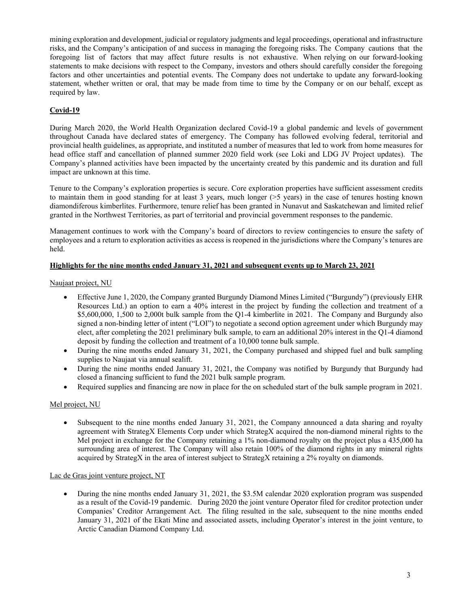mining exploration and development, judicial or regulatory judgments and legal proceedings, operational and infrastructure risks, and the Company's anticipation of and success in managing the foregoing risks. The Company cautions that the foregoing list of factors that may affect future results is not exhaustive. When relying on our forward-looking statements to make decisions with respect to the Company, investors and others should carefully consider the foregoing factors and other uncertainties and potential events. The Company does not undertake to update any forward-looking statement, whether written or oral, that may be made from time to time by the Company or on our behalf, except as required by law.

# **Covid-19**

During March 2020, the World Health Organization declared Covid-19 a global pandemic and levels of government throughout Canada have declared states of emergency. The Company has followed evolving federal, territorial and provincial health guidelines, as appropriate, and instituted a number of measures that led to work from home measures for head office staff and cancellation of planned summer 2020 field work (see Loki and LDG JV Project updates). The Company's planned activities have been impacted by the uncertainty created by this pandemic and its duration and full impact are unknown at this time.

Tenure to the Company's exploration properties is secure. Core exploration properties have sufficient assessment credits to maintain them in good standing for at least 3 years, much longer (>5 years) in the case of tenures hosting known diamondiferous kimberlites. Furthermore, tenure relief has been granted in Nunavut and Saskatchewan and limited relief granted in the Northwest Territories, as part of territorial and provincial government responses to the pandemic.

Management continues to work with the Company's board of directors to review contingencies to ensure the safety of employees and a return to exploration activities as access is reopened in the jurisdictions where the Company's tenures are held.

### **Highlights for the nine months ended January 31, 2021 and subsequent events up to March 23, 2021**

### Naujaat project, NU

- Effective June 1, 2020, the Company granted Burgundy Diamond Mines Limited ("Burgundy") (previously EHR Resources Ltd.) an option to earn a 40% interest in the project by funding the collection and treatment of a \$5,600,000, 1,500 to 2,000t bulk sample from the Q1-4 kimberlite in 2021. The Company and Burgundy also signed a non-binding letter of intent ("LOI") to negotiate a second option agreement under which Burgundy may elect, after completing the 2021 preliminary bulk sample, to earn an additional 20% interest in the Q1-4 diamond deposit by funding the collection and treatment of a 10,000 tonne bulk sample.
- During the nine months ended January 31, 2021, the Company purchased and shipped fuel and bulk sampling supplies to Naujaat via annual sealift.
- During the nine months ended January 31, 2021, the Company was notified by Burgundy that Burgundy had closed a financing sufficient to fund the 2021 bulk sample program.
- Required supplies and financing are now in place for the on scheduled start of the bulk sample program in 2021.

### Mel project, NU

 Subsequent to the nine months ended January 31, 2021, the Company announced a data sharing and royalty agreement with StrategX Elements Corp under which StrategX acquired the non-diamond mineral rights to the Mel project in exchange for the Company retaining a 1% non-diamond royalty on the project plus a 435,000 ha surrounding area of interest. The Company will also retain 100% of the diamond rights in any mineral rights acquired by StrategX in the area of interest subject to StrategX retaining a 2% royalty on diamonds.

#### Lac de Gras joint venture project, NT

 During the nine months ended January 31, 2021, the \$3.5M calendar 2020 exploration program was suspended as a result of the Covid-19 pandemic. During 2020 the joint venture Operator filed for creditor protection under Companies' Creditor Arrangement Act. The filing resulted in the sale, subsequent to the nine months ended January 31, 2021 of the Ekati Mine and associated assets, including Operator's interest in the joint venture, to Arctic Canadian Diamond Company Ltd.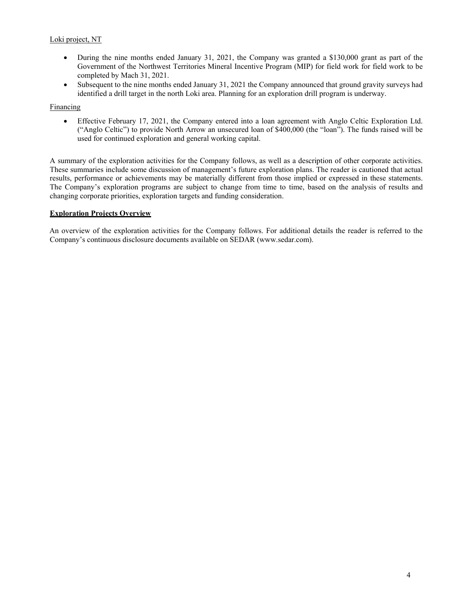# Loki project, NT

- During the nine months ended January 31, 2021, the Company was granted a \$130,000 grant as part of the Government of the Northwest Territories Mineral Incentive Program (MIP) for field work for field work to be completed by Mach 31, 2021.
- Subsequent to the nine months ended January 31, 2021 the Company announced that ground gravity surveys had identified a drill target in the north Loki area. Planning for an exploration drill program is underway.

### Financing

 Effective February 17, 2021, the Company entered into a loan agreement with Anglo Celtic Exploration Ltd. ("Anglo Celtic") to provide North Arrow an unsecured loan of \$400,000 (the "loan"). The funds raised will be used for continued exploration and general working capital.

A summary of the exploration activities for the Company follows, as well as a description of other corporate activities. These summaries include some discussion of management's future exploration plans. The reader is cautioned that actual results, performance or achievements may be materially different from those implied or expressed in these statements. The Company's exploration programs are subject to change from time to time, based on the analysis of results and changing corporate priorities, exploration targets and funding consideration.

### **Exploration Projects Overview**

An overview of the exploration activities for the Company follows. For additional details the reader is referred to the Company's continuous disclosure documents available on SEDAR (www.sedar.com).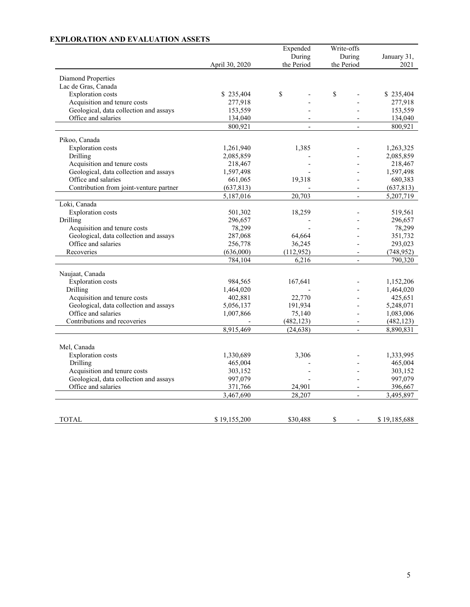# **EXPLORATION AND EVALUATION ASSETS**

|                                         |                | Expended       | Write-offs               |              |
|-----------------------------------------|----------------|----------------|--------------------------|--------------|
|                                         |                | During         | During                   | January 31,  |
|                                         | April 30, 2020 | the Period     | the Period               | 2021         |
| <b>Diamond Properties</b>               |                |                |                          |              |
| Lac de Gras, Canada                     |                |                |                          |              |
| <b>Exploration</b> costs                | \$235,404      | \$             | \$                       | \$235,404    |
| Acquisition and tenure costs            | 277,918        |                |                          | 277,918      |
| Geological, data collection and assays  | 153,559        |                |                          | 153,559      |
| Office and salaries                     | 134,040        |                |                          | 134,040      |
|                                         | 800,921        | $\overline{a}$ | $\overline{a}$           | 800,921      |
|                                         |                |                |                          |              |
| Pikoo, Canada                           |                |                |                          |              |
| <b>Exploration</b> costs                | 1,261,940      | 1,385          |                          | 1,263,325    |
| Drilling                                | 2,085,859      |                |                          | 2,085,859    |
| Acquisition and tenure costs            | 218,467        |                |                          | 218,467      |
| Geological, data collection and assays  | 1,597,498      |                |                          | 1,597,498    |
| Office and salaries                     | 661,065        | 19,318         |                          | 680,383      |
| Contribution from joint-venture partner | (637, 813)     |                |                          | (637, 813)   |
|                                         | 5,187,016      | 20,703         |                          | 5,207,719    |
| Loki, Canada                            |                |                |                          |              |
| <b>Exploration</b> costs                | 501,302        | 18,259         |                          | 519,561      |
| Drilling                                | 296,657        |                |                          | 296,657      |
| Acquisition and tenure costs            | 78,299         |                |                          | 78,299       |
| Geological, data collection and assays  | 287,068        | 64,664         |                          | 351,732      |
| Office and salaries                     | 256,778        | 36,245         |                          | 293,023      |
| Recoveries                              | (636,000)      | (112, 952)     | $\overline{a}$           | (748, 952)   |
|                                         | 784,104        | 6,216          | $\overline{a}$           | 790,320      |
| Naujaat, Canada                         |                |                |                          |              |
| <b>Exploration</b> costs                | 984,565        | 167,641        |                          | 1,152,206    |
| Drilling                                | 1,464,020      |                |                          | 1,464,020    |
| Acquisition and tenure costs            | 402,881        | 22,770         |                          | 425,651      |
| Geological, data collection and assays  | 5,056,137      | 191,934        |                          | 5,248,071    |
| Office and salaries                     | 1,007,866      | 75,140         |                          | 1,083,006    |
| Contributions and recoveries            |                | (482, 123)     | $\overline{a}$           | (482, 123)   |
|                                         | 8,915,469      | (24, 638)      | $\overline{\phantom{a}}$ | 8,890,831    |
|                                         |                |                |                          |              |
| Mel, Canada                             |                |                |                          |              |
| <b>Exploration</b> costs                | 1,330,689      | 3,306          |                          | 1,333,995    |
| Drilling                                | 465,004        |                |                          | 465,004      |
| Acquisition and tenure costs            | 303,152        |                |                          | 303,152      |
| Geological, data collection and assays  | 997,079        |                |                          | 997,079      |
| Office and salaries                     | 371,766        | 24,901         | $\overline{\phantom{a}}$ | 396,667      |
|                                         | 3,467,690      | 28,207         | $\overline{a}$           | 3,495,897    |
|                                         |                |                |                          |              |
|                                         |                |                |                          |              |
| TOTAL                                   | \$19,155,200   | \$30,488       | \$<br>$\overline{a}$     | \$19,185,688 |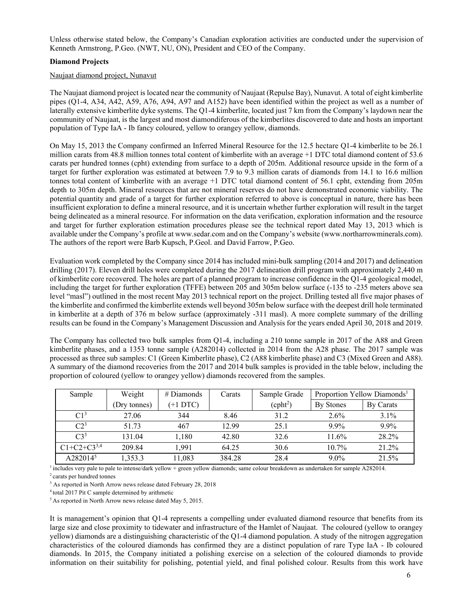Unless otherwise stated below, the Company's Canadian exploration activities are conducted under the supervision of Kenneth Armstrong, P.Geo. (NWT, NU, ON), President and CEO of the Company.

### **Diamond Projects**

### Naujaat diamond project, Nunavut

The Naujaat diamond project is located near the community of Naujaat (Repulse Bay), Nunavut. A total of eight kimberlite pipes (Q1-4, A34, A42, A59, A76, A94, A97 and A152) have been identified within the project as well as a number of laterally extensive kimberlite dyke systems. The Q1-4 kimberlite, located just 7 km from the Company's laydown near the community of Naujaat, is the largest and most diamondiferous of the kimberlites discovered to date and hosts an important population of Type IaA - Ib fancy coloured, yellow to orangey yellow, diamonds.

On May 15, 2013 the Company confirmed an Inferred Mineral Resource for the 12.5 hectare Q1-4 kimberlite to be 26.1 million carats from 48.8 million tonnes total content of kimberlite with an average +1 DTC total diamond content of 53.6 carats per hundred tonnes (cpht) extending from surface to a depth of 205m. Additional resource upside in the form of a target for further exploration was estimated at between 7.9 to 9.3 million carats of diamonds from 14.1 to 16.6 million tonnes total content of kimberlite with an average +1 DTC total diamond content of 56.1 cpht, extending from 205m depth to 305m depth. Mineral resources that are not mineral reserves do not have demonstrated economic viability. The potential quantity and grade of a target for further exploration referred to above is conceptual in nature, there has been insufficient exploration to define a mineral resource, and it is uncertain whether further exploration will result in the target being delineated as a mineral resource. For information on the data verification, exploration information and the resource and target for further exploration estimation procedures please see the technical report dated May 13, 2013 which is available under the Company's profile at www.sedar.com and on the Company's website (www.northarrowminerals.com). The authors of the report were Barb Kupsch, P.Geol. and David Farrow, P.Geo.

Evaluation work completed by the Company since 2014 has included mini-bulk sampling (2014 and 2017) and delineation drilling (2017). Eleven drill holes were completed during the 2017 delineation drill program with approximately 2,440 m of kimberlite core recovered. The holes are part of a planned program to increase confidence in the Q1-4 geological model, including the target for further exploration (TFFE) between 205 and 305m below surface (-135 to -235 meters above sea level "masl") outlined in the most recent May 2013 technical report on the project. Drilling tested all five major phases of the kimberlite and confirmed the kimberlite extends well beyond 305m below surface with the deepest drill hole terminated in kimberlite at a depth of 376 m below surface (approximately -311 masl). A more complete summary of the drilling results can be found in the Company's Management Discussion and Analysis for the years ended April 30, 2018 and 2019.

The Company has collected two bulk samples from Q1-4, including a 210 tonne sample in 2017 of the A88 and Green kimberlite phases, and a 1353 tonne sample (A282014) collected in 2014 from the A28 phase. The 2017 sample was processed as three sub samples: C1 (Green Kimberlite phase), C2 (A88 kimberlite phase) and C3 (Mixed Green and A88). A summary of the diamond recoveries from the 2017 and 2014 bulk samples is provided in the table below, including the proportion of coloured (yellow to orangey yellow) diamonds recovered from the samples.

| Sample               | Weight       | $#$ Diamonds | Carats | Sample Grade         |           | Proportion Yellow Diamonds <sup>1</sup> |
|----------------------|--------------|--------------|--------|----------------------|-----------|-----------------------------------------|
|                      | (Dry tonnes) | $(+1 DTC)$   |        | (cpht <sup>2</sup> ) | By Stones | By Carats                               |
| C1 <sup>3</sup>      | 27.06        | 344          | 8.46   | 31.2                 | $2.6\%$   | $3.1\%$                                 |
| C2 <sup>3</sup>      | 51.73        | 467          | 12.99  | 25.1                 | $9.9\%$   | $9.9\%$                                 |
| $C3^3$               | 131.04       | 1,180        | 42.80  | 32.6                 | 11.6%     | 28.2%                                   |
| $C1+C2+C3^{3,4}$     | 209.84       | 1.991        | 64.25  | 30.6                 | $10.7\%$  | 21.2%                                   |
| A282014 <sup>5</sup> | 1,353.3      | 11,083       | 384.28 | 28.4                 | $9.0\%$   | 21.5%                                   |

<sup>1</sup> includes very pale to pale to intense/dark yellow + green yellow diamonds; same colour breakdown as undertaken for sample A282014.<br><sup>2</sup> carats per hundred tonnes

<sup>3</sup> As reported in North Arrow news release dated February 28, 2018<br><sup>4</sup> total 2017 Pit C sample determined by arithmetic  $5$  As reported in North Arrow news release dated May 5, 2015.

It is management's opinion that Q1-4 represents a compelling under evaluated diamond resource that benefits from its large size and close proximity to tidewater and infrastructure of the Hamlet of Naujaat. The coloured (yellow to orangey yellow) diamonds are a distinguishing characteristic of the Q1-4 diamond population. A study of the nitrogen aggregation characteristics of the coloured diamonds has confirmed they are a distinct population of rare Type IaA - Ib coloured diamonds. In 2015, the Company initiated a polishing exercise on a selection of the coloured diamonds to provide information on their suitability for polishing, potential yield, and final polished colour. Results from this work have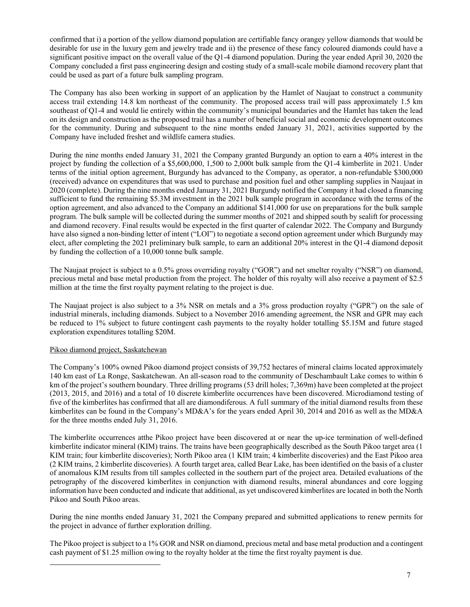confirmed that i) a portion of the yellow diamond population are certifiable fancy orangey yellow diamonds that would be desirable for use in the luxury gem and jewelry trade and ii) the presence of these fancy coloured diamonds could have a significant positive impact on the overall value of the Q1-4 diamond population. During the year ended April 30, 2020 the Company concluded a first pass engineering design and costing study of a small-scale mobile diamond recovery plant that could be used as part of a future bulk sampling program.

The Company has also been working in support of an application by the Hamlet of Naujaat to construct a community access trail extending 14.8 km northeast of the community. The proposed access trail will pass approximately 1.5 km southeast of Q1-4 and would lie entirely within the community's municipal boundaries and the Hamlet has taken the lead on its design and construction as the proposed trail has a number of beneficial social and economic development outcomes for the community. During and subsequent to the nine months ended January 31, 2021, activities supported by the Company have included freshet and wildlife camera studies.

During the nine months ended January 31, 2021 the Company granted Burgundy an option to earn a 40% interest in the project by funding the collection of a \$5,600,000, 1,500 to 2,000t bulk sample from the Q1-4 kimberlite in 2021. Under terms of the initial option agreement, Burgundy has advanced to the Company, as operator, a non-refundable \$300,000 (received) advance on expenditures that was used to purchase and position fuel and other sampling supplies in Naujaat in 2020 (complete). During the nine months ended January 31, 2021 Burgundy notified the Company it had closed a financing sufficient to fund the remaining \$5.3M investment in the 2021 bulk sample program in accordance with the terms of the option agreement, and also advanced to the Company an additional \$141,000 for use on preparations for the bulk sample program. The bulk sample will be collected during the summer months of 2021 and shipped south by sealift for processing and diamond recovery. Final results would be expected in the first quarter of calendar 2022. The Company and Burgundy have also signed a non-binding letter of intent ("LOI") to negotiate a second option agreement under which Burgundy may elect, after completing the 2021 preliminary bulk sample, to earn an additional 20% interest in the Q1-4 diamond deposit by funding the collection of a 10,000 tonne bulk sample.

The Naujaat project is subject to a 0.5% gross overriding royalty ("GOR") and net smelter royalty ("NSR") on diamond, precious metal and base metal production from the project. The holder of this royalty will also receive a payment of \$2.5 million at the time the first royalty payment relating to the project is due.

The Naujaat project is also subject to a 3% NSR on metals and a 3% gross production royalty ("GPR") on the sale of industrial minerals, including diamonds. Subject to a November 2016 amending agreement, the NSR and GPR may each be reduced to 1% subject to future contingent cash payments to the royalty holder totalling \$5.15M and future staged exploration expenditures totalling \$20M.

### Pikoo diamond project, Saskatchewan

l

The Company's 100% owned Pikoo diamond project consists of 39,752 hectares of mineral claims located approximately 140 km east of La Ronge, Saskatchewan. An all-season road to the community of Deschambault Lake comes to within 6 km of the project's southern boundary. Three drilling programs (53 drill holes; 7,369m) have been completed at the project (2013, 2015, and 2016) and a total of 10 discrete kimberlite occurrences have been discovered. Microdiamond testing of five of the kimberlites has confirmed that all are diamondiferous. A full summary of the initial diamond results from these kimberlites can be found in the Company's MD&A's for the years ended April 30, 2014 and 2016 as well as the MD&A for the three months ended July 31, 2016.

The kimberlite occurrences atthe Pikoo project have been discovered at or near the up-ice termination of well-defined kimberlite indicator mineral (KIM) trains. The trains have been geographically described as the South Pikoo target area (1 KIM train; four kimberlite discoveries); North Pikoo area (1 KIM train; 4 kimberlite discoveries) and the East Pikoo area (2 KIM trains, 2 kimberlite discoveries). A fourth target area, called Bear Lake, has been identified on the basis of a cluster of anomalous KIM results from till samples collected in the southern part of the project area. Detailed evaluations of the petrography of the discovered kimberlites in conjunction with diamond results, mineral abundances and core logging information have been conducted and indicate that additional, as yet undiscovered kimberlites are located in both the North Pikoo and South Pikoo areas.

During the nine months ended January 31, 2021 the Company prepared and submitted applications to renew permits for the project in advance of further exploration drilling.

The Pikoo project is subject to a 1% GOR and NSR on diamond, precious metal and base metal production and a contingent cash payment of \$1.25 million owing to the royalty holder at the time the first royalty payment is due.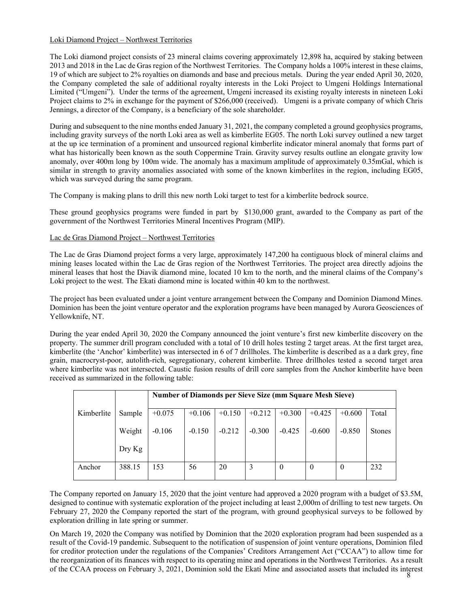# Loki Diamond Project – Northwest Territories

The Loki diamond project consists of 23 mineral claims covering approximately 12,898 ha, acquired by staking between 2013 and 2018 in the Lac de Gras region of the Northwest Territories. The Company holds a 100% interest in these claims, 19 of which are subject to 2% royalties on diamonds and base and precious metals. During the year ended April 30, 2020, the Company completed the sale of additional royalty interests in the Loki Project to Umgeni Holdings International Limited ("Umgeni"). Under the terms of the agreement, Umgeni increased its existing royalty interests in nineteen Loki Project claims to 2% in exchange for the payment of \$266,000 (received). Umgeni is a private company of which Chris Jennings, a director of the Company, is a beneficiary of the sole shareholder.

During and subsequent to the nine months ended January 31, 2021, the company completed a ground geophysics programs, including gravity surveys of the north Loki area as well as kimberlite EG05. The north Loki survey outlined a new target at the up ice termination of a prominent and unsourced regional kimberlite indicator mineral anomaly that forms part of what has historically been known as the south Coppermine Train. Gravity survey results outline an elongate gravity low anomaly, over 400m long by 100m wide. The anomaly has a maximum amplitude of approximately 0.35mGal, which is similar in strength to gravity anomalies associated with some of the known kimberlites in the region, including EG05, which was surveyed during the same program.

The Company is making plans to drill this new north Loki target to test for a kimberlite bedrock source.

These ground geophysics programs were funded in part by \$130,000 grant, awarded to the Company as part of the government of the Northwest Territories Mineral Incentives Program (MIP).

### Lac de Gras Diamond Project – Northwest Territories

The Lac de Gras Diamond project forms a very large, approximately 147,200 ha contiguous block of mineral claims and mining leases located within the Lac de Gras region of the Northwest Territories. The project area directly adjoins the mineral leases that host the Diavik diamond mine, located 10 km to the north, and the mineral claims of the Company's Loki project to the west. The Ekati diamond mine is located within 40 km to the northwest.

The project has been evaluated under a joint venture arrangement between the Company and Dominion Diamond Mines. Dominion has been the joint venture operator and the exploration programs have been managed by Aurora Geosciences of Yellowknife, NT.

During the year ended April 30, 2020 the Company announced the joint venture's first new kimberlite discovery on the property. The summer drill program concluded with a total of 10 drill holes testing 2 target areas. At the first target area, kimberlite (the 'Anchor' kimberlite) was intersected in 6 of 7 drillholes. The kimberlite is described as a a dark grey, fine grain, macrocryst-poor, autolith-rich, segregationary, coherent kimberlite. Three drillholes tested a second target area where kimberlite was not intersected. Caustic fusion results of drill core samples from the Anchor kimberlite have been received as summarized in the following table:

|            |                   |          | <b>Number of Diamonds per Sieve Size (mm Square Mesh Sieve)</b> |          |          |          |          |          |               |  |  |  |
|------------|-------------------|----------|-----------------------------------------------------------------|----------|----------|----------|----------|----------|---------------|--|--|--|
| Kimberlite | Sample            | $+0.075$ | $+0.106$                                                        | $+0.150$ | $+0.212$ | $+0.300$ | $+0.425$ | $+0.600$ | Total         |  |  |  |
|            | Weight            | $-0.106$ | $-0.150$                                                        | $-0.212$ | $-0.300$ | $-0.425$ | $-0.600$ | $-0.850$ | <b>Stones</b> |  |  |  |
|            | $_{\rm{Dry\,Kg}}$ |          |                                                                 |          |          |          |          |          |               |  |  |  |
| Anchor     | 388.15            | 153      | 56                                                              | 20       | 3        | $\theta$ | $\theta$ | $\theta$ | 232           |  |  |  |

The Company reported on January 15, 2020 that the joint venture had approved a 2020 program with a budget of \$3.5M, designed to continue with systematic exploration of the project including at least 2,000m of drilling to test new targets. On February 27, 2020 the Company reported the start of the program, with ground geophysical surveys to be followed by exploration drilling in late spring or summer.

of the CCAA process on February 3, 2021, Dominion sold the Ekati Mine and associated assets that included its interest 8 On March 19, 2020 the Company was notified by Dominion that the 2020 exploration program had been suspended as a result of the Covid-19 pandemic. Subsequent to the notification of suspension of joint venture operations, Dominion filed for creditor protection under the regulations of the Companies' Creditors Arrangement Act ("CCAA") to allow time for the reorganization of its finances with respect to its operating mine and operations in the Northwest Territories. As a result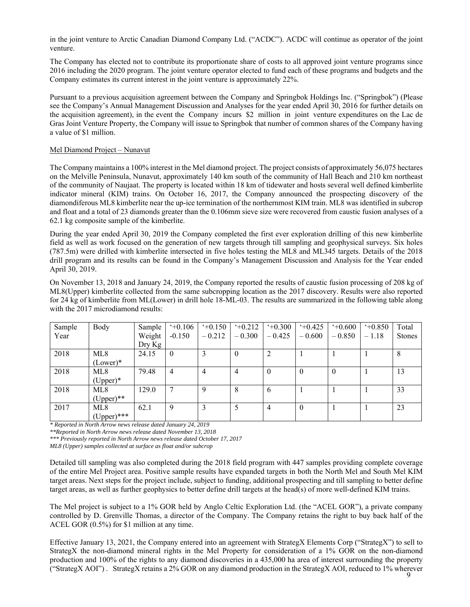in the joint venture to Arctic Canadian Diamond Company Ltd. ("ACDC"). ACDC will continue as operator of the joint venture.

The Company has elected not to contribute its proportionate share of costs to all approved joint venture programs since 2016 including the 2020 program. The joint venture operator elected to fund each of these programs and budgets and the Company estimates its current interest in the joint venture is approximately 22%.

Pursuant to a previous acquisition agreement between the Company and Springbok Holdings Inc. ("Springbok") (Please see the Company's Annual Management Discussion and Analyses for the year ended April 30, 2016 for further details on the acquisition agreement), in the event the Company incurs \$2 million in joint venture expenditures on the Lac de Gras Joint Venture Property, the Company will issue to Springbok that number of common shares of the Company having a value of \$1 million.

### Mel Diamond Project – Nunavut

The Company maintains a 100% interest in the Mel diamond project. The project consists of approximately 56,075 hectares on the Melville Peninsula, Nunavut, approximately 140 km south of the community of Hall Beach and 210 km northeast of the community of Naujaat. The property is located within 18 km of tidewater and hosts several well defined kimberlite indicator mineral (KIM) trains. On October 16, 2017, the Company announced the prospecting discovery of the diamondiferous ML8 kimberlite near the up-ice termination of the northernmost KIM train. ML8 was identified in subcrop and float and a total of 23 diamonds greater than the 0.106mm sieve size were recovered from caustic fusion analyses of a 62.1 kg composite sample of the kimberlite.

During the year ended April 30, 2019 the Company completed the first ever exploration drilling of this new kimberlite field as well as work focused on the generation of new targets through till sampling and geophysical surveys. Six holes (787.5m) were drilled with kimberlite intersected in five holes testing the ML8 and ML345 targets. Details of the 2018 drill program and its results can be found in the Company's Management Discussion and Analysis for the Year ended April 30, 2019.

On November 13, 2018 and January 24, 2019, the Company reported the results of caustic fusion processing of 208 kg of ML8(Upper) kimberlite collected from the same subcropping location as the 2017 discovery. Results were also reported for 24 kg of kimberlite from ML(Lower) in drill hole 18-ML-03. The results are summarized in the following table along with the 2017 microdiamond results:

| Sample | Body            | Sample            | $+0.106$     | $+0.150$ | $+0.212$ | $+0.300$ | $+0.425$ | $+0.600$ | $+0.850$ | Total         |
|--------|-----------------|-------------------|--------------|----------|----------|----------|----------|----------|----------|---------------|
| Year   |                 | Weight            | $-0.150$     | $-0.212$ | $-0.300$ | $-0.425$ | $-0.600$ | $-0.850$ | $-1.18$  | <b>Stones</b> |
|        |                 | $_{\rm{Dry\,Kg}}$ |              |          |          |          |          |          |          |               |
| 2018   | ML <sub>8</sub> | 24.15             | $\mathbf{0}$ |          | $\theta$ |          |          |          |          | 8             |
|        | $(Lower)*$      |                   |              |          |          |          |          |          |          |               |
| 2018   | ML8             | 79.48             | 4            | 4        | 4        | $\theta$ | 0        |          |          | 13            |
|        | $(Upper)*$      |                   |              |          |          |          |          |          |          |               |
| 2018   | ML8             | 129.0             |              | Q        | 8        | $\sigma$ |          |          |          | 33            |
|        | $(Upper)$ **    |                   |              |          |          |          |          |          |          |               |
| 2017   | ML8             | 62.1              | 9            | 3        |          | 4        | $\theta$ |          |          | 23            |
|        | $(Upper)$ ***   |                   |              |          |          |          |          |          |          |               |

*\* Reported in North Arrow news release dated January 24, 2019* 

*\*\*Reported in North Arrow news release dated November 13, 2018* 

*\*\*\* Previously reported in North Arrow news release dated October 17, 2017* 

*ML8 (Upper) samples collected at surface as float and/or subcrop* 

Detailed till sampling was also completed during the 2018 field program with 447 samples providing complete coverage of the entire Mel Project area. Positive sample results have expanded targets in both the North Mel and South Mel KIM target areas. Next steps for the project include, subject to funding, additional prospecting and till sampling to better define target areas, as well as further geophysics to better define drill targets at the head(s) of more well-defined KIM trains.

The Mel project is subject to a 1% GOR held by Anglo Celtic Exploration Ltd. (the "ACEL GOR"), a private company controlled by D. Grenville Thomas, a director of the Company. The Company retains the right to buy back half of the ACEL GOR (0.5%) for \$1 million at any time.

Effective January 13, 2021, the Company entered into an agreement with StrategX Elements Corp ("StrategX") to sell to StrategX the non-diamond mineral rights in the Mel Property for consideration of a 1% GOR on the non-diamond production and 100% of the rights to any diamond discoveries in a 435,000 ha area of interest surrounding the property ("StrategX AOI") . StrategX retains a 2% GOR on any diamond production in the StrategX AOI, reduced to 1% wherever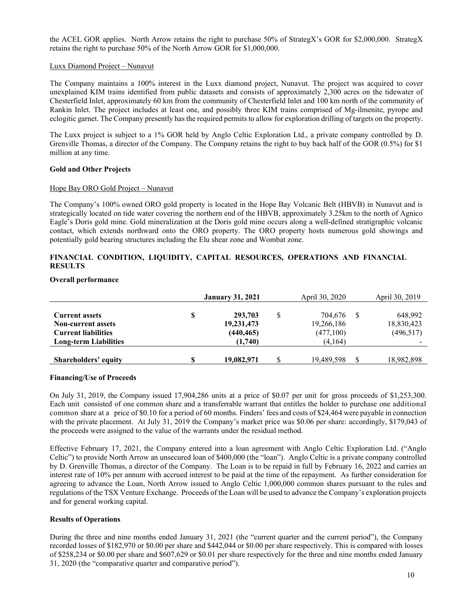the ACEL GOR applies. North Arrow retains the right to purchase 50% of StrategX's GOR for \$2,000,000. StrategX retains the right to purchase 50% of the North Arrow GOR for \$1,000,000.

#### Luxx Diamond Project – Nunavut

The Company maintains a 100% interest in the Luxx diamond project, Nunavut. The project was acquired to cover unexplained KIM trains identified from public datasets and consists of approximately 2,300 acres on the tidewater of Chesterfield Inlet, approximately 60 km from the community of Chesterfield Inlet and 100 km north of the community of Rankin Inlet. The project includes at least one, and possibly three KIM trains comprised of Mg-ilmenite, pyrope and eclogitic garnet. The Company presently has the required permits to allow for exploration drilling of targets on the property.

The Luxx project is subject to a 1% GOR held by Anglo Celtic Exploration Ltd., a private company controlled by D. Grenville Thomas, a director of the Company. The Company retains the right to buy back half of the GOR (0.5%) for \$1 million at any time.

#### **Gold and Other Projects**

#### Hope Bay ORO Gold Project – Nunavut

The Company's 100% owned ORO gold property is located in the Hope Bay Volcanic Belt (HBVB) in Nunavut and is strategically located on tide water covering the northern end of the HBVB, approximately 3.25km to the north of Agnico Eagle's Doris gold mine. Gold mineralization at the Doris gold mine occurs along a well-defined stratigraphic volcanic contact, which extends northward onto the ORO property. The ORO property hosts numerous gold showings and potentially gold bearing structures including the Elu shear zone and Wombat zone.

### **FINANCIAL CONDITION, LIQUIDITY, CAPITAL RESOURCES, OPERATIONS AND FINANCIAL RESULTS**

#### **Overall performance**

|                                                                                  |   | <b>January 31, 2021</b>             |   | April 30, 2020                     | April 30, 2019                      |
|----------------------------------------------------------------------------------|---|-------------------------------------|---|------------------------------------|-------------------------------------|
| <b>Current assets</b><br><b>Non-current assets</b><br><b>Current liabilities</b> | S | 293,703<br>19,231,473<br>(440, 465) | S | 704.676<br>19,266,186<br>(477,100) | 648,992<br>18,830,423<br>(496, 517) |
| <b>Long-term Liabilities</b>                                                     |   | (1,740)                             |   | (4,164)                            |                                     |
| Shareholders' equity                                                             | S | 19,082,971                          | S | 19,489,598                         | 18,982,898                          |

#### **Financing/Use of Proceeds**

On July 31, 2019, the Company issued 17,904,286 units at a price of \$0.07 per unit for gross proceeds of \$1,253,300. Each unit consisted of one common share and a transferrable warrant that entitles the holder to purchase one additional common share at a price of \$0.10 for a period of 60 months. Finders' fees and costs of \$24,464 were payable in connection with the private placement. At July 31, 2019 the Company's market price was \$0.06 per share: accordingly, \$179,043 of the proceeds were assigned to the value of the warrants under the residual method.

Effective February 17, 2021, the Company entered into a loan agreement with Anglo Celtic Exploration Ltd. ("Anglo Celtic") to provide North Arrow an unsecured loan of \$400,000 (the "loan"). Anglo Celtic is a private company controlled by D. Grenville Thomas, a director of the Company. The Loan is to be repaid in full by February 16, 2022 and carries an interest rate of 10% per annum with accrued interest to be paid at the time of the repayment. As further consideration for agreeing to advance the Loan, North Arrow issued to Anglo Celtic 1,000,000 common shares pursuant to the rules and regulations of the TSX Venture Exchange. Proceeds of the Loan will be used to advance the Company's exploration projects and for general working capital.

#### **Results of Operations**

During the three and nine months ended January 31, 2021 (the "current quarter and the current period"), the Company recorded losses of \$182,970 or \$0.00 per share and \$442,044 or \$0.00 per share respectively. This is compared with losses of \$258,234 or \$0.00 per share and \$607,629 or \$0.01 per share respectively for the three and nine months ended January 31, 2020 (the "comparative quarter and comparative period").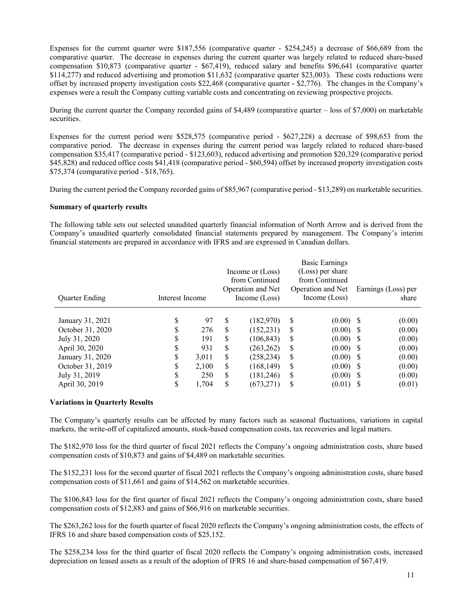Expenses for the current quarter were \$187,556 (comparative quarter - \$254,245) a decrease of \$66,689 from the comparative quarter. The decrease in expenses during the current quarter was largely related to reduced share-based compensation \$10,873 (comparative quarter - \$67,419), reduced salary and benefits \$96,641 (comparative quarter \$114,277) and reduced advertising and promotion \$11,632 (comparative quarter \$23,003). These costs reductions were offset by increased property investigation costs \$22,468 (comparative quarter - \$2,776). The changes in the Company's expenses were a result the Company cutting variable costs and concentrating on reviewing prospective projects.

During the current quarter the Company recorded gains of \$4,489 (comparative quarter – loss of \$7,000) on marketable securities.

Expenses for the current period were \$528,575 (comparative period - \$627,228) a decrease of \$98,653 from the comparative period. The decrease in expenses during the current period was largely related to reduced share-based compensation \$35,417 (comparative period - \$123,603), reduced advertising and promotion \$20,329 (comparative period \$45,828) and reduced office costs \$41,418 (comparative period - \$60,594) offset by increased property investigation costs \$75,374 (comparative period - \$18,765).

During the current period the Company recorded gains of \$85,967 (comparative period - \$13,289) on marketable securities.

### **Summary of quarterly results**

The following table sets out selected unaudited quarterly financial information of North Arrow and is derived from the Company's unaudited quarterly consolidated financial statements prepared by management. The Company's interim financial statements are prepared in accordance with IFRS and are expressed in Canadian dollars.

| <b>Ouarter Ending</b> | Interest Income |       |    | Income or (Loss)<br>from Continued<br>Operation and Net<br>Income (Loss) |    | Basic Earnings<br>(Loss) per share<br>from Continued<br>Operation and Net<br>Income (Loss) | Earnings (Loss) per<br>share |
|-----------------------|-----------------|-------|----|--------------------------------------------------------------------------|----|--------------------------------------------------------------------------------------------|------------------------------|
|                       |                 |       |    |                                                                          |    |                                                                                            |                              |
| January 31, 2021      | \$              | 97    | S  | (182, 970)                                                               | S  | $(0.00)$ \$                                                                                | (0.00)                       |
| October 31, 2020      | \$              | 276   | S  | (152, 231)                                                               | S  | $(0.00)$ \$                                                                                | (0.00)                       |
| July 31, 2020         | \$              | 191   | S  | (106, 843)                                                               | S  | $(0.00)$ \$                                                                                | (0.00)                       |
| April 30, 2020        | \$              | 931   | \$ | (263, 262)                                                               | \$ | $(0.00)$ \$                                                                                | (0.00)                       |
| January 31, 2020      | \$              | 3.011 | S  | (258, 234)                                                               | S  | $(0.00)$ \$                                                                                | (0.00)                       |
| October 31, 2019      | S               | 2,100 | \$ | (168, 149)                                                               | \$ | $(0.00)$ \$                                                                                | (0.00)                       |
| July 31, 2019         | S               | 250   | S  | (181,246)                                                                | S  | $(0.00)$ \$                                                                                | (0.00)                       |
| April 30, 2019        | S               | 1,704 | S  | (673, 271)                                                               | S  | $(0.01)$ \$                                                                                | (0.01)                       |

#### **Variations in Quarterly Results**

The Company's quarterly results can be affected by many factors such as seasonal fluctuations, variations in capital markets, the write-off of capitalized amounts, stock-based compensation costs, tax recoveries and legal matters.

The \$182,970 loss for the third quarter of fiscal 2021 reflects the Company's ongoing administration costs, share based compensation costs of \$10,873 and gains of \$4,489 on marketable securities.

The \$152,231 loss for the second quarter of fiscal 2021 reflects the Company's ongoing administration costs, share based compensation costs of \$11,661 and gains of \$14,562 on marketable securities.

The \$106,843 loss for the first quarter of fiscal 2021 reflects the Company's ongoing administration costs, share based compensation costs of \$12,883 and gains of \$66,916 on marketable securities.

The \$263,262 loss for the fourth quarter of fiscal 2020 reflects the Company's ongoing administration costs, the effects of IFRS 16 and share based compensation costs of \$25,152.

The \$258,234 loss for the third quarter of fiscal 2020 reflects the Company's ongoing administration costs, increased depreciation on leased assets as a result of the adoption of IFRS 16 and share-based compensation of \$67,419.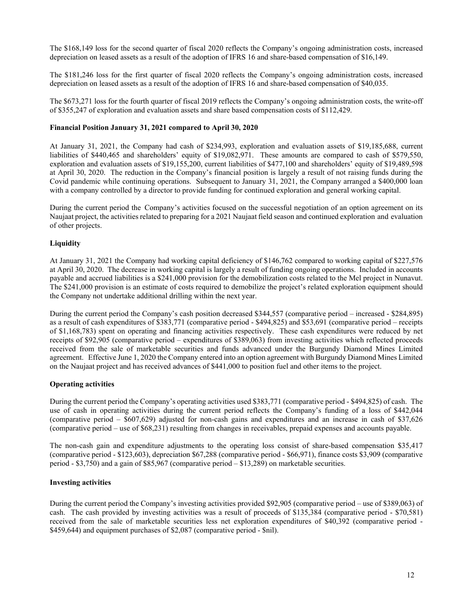The \$168,149 loss for the second quarter of fiscal 2020 reflects the Company's ongoing administration costs, increased depreciation on leased assets as a result of the adoption of IFRS 16 and share-based compensation of \$16,149.

The \$181,246 loss for the first quarter of fiscal 2020 reflects the Company's ongoing administration costs, increased depreciation on leased assets as a result of the adoption of IFRS 16 and share-based compensation of \$40,035.

The \$673,271 loss for the fourth quarter of fiscal 2019 reflects the Company's ongoing administration costs, the write-off of \$355,247 of exploration and evaluation assets and share based compensation costs of \$112,429.

### **Financial Position January 31, 2021 compared to April 30, 2020**

At January 31, 2021, the Company had cash of \$234,993, exploration and evaluation assets of \$19,185,688, current liabilities of \$440,465 and shareholders' equity of \$19,082,971. These amounts are compared to cash of \$579,550, exploration and evaluation assets of \$19,155,200, current liabilities of \$477,100 and shareholders' equity of \$19,489,598 at April 30, 2020. The reduction in the Company's financial position is largely a result of not raising funds during the Covid pandemic while continuing operations. Subsequent to January 31, 2021, the Company arranged a \$400,000 loan with a company controlled by a director to provide funding for continued exploration and general working capital.

During the current period the Company's activities focused on the successful negotiation of an option agreement on its Naujaat project, the activities related to preparing for a 2021 Naujaat field season and continued exploration and evaluation of other projects.

### **Liquidity**

At January 31, 2021 the Company had working capital deficiency of \$146,762 compared to working capital of \$227,576 at April 30, 2020. The decrease in working capital is largely a result of funding ongoing operations. Included in accounts payable and accrued liabilities is a \$241,000 provision for the demobilization costs related to the Mel project in Nunavut. The \$241,000 provision is an estimate of costs required to demobilize the project's related exploration equipment should the Company not undertake additional drilling within the next year.

During the current period the Company's cash position decreased \$344,557 (comparative period – increased - \$284,895) as a result of cash expenditures of \$383,771 (comparative period - \$494,825) and \$53,691 (comparative period – receipts of \$1,168,783) spent on operating and financing activities respectively. These cash expenditures were reduced by net receipts of \$92,905 (comparative period – expenditures of \$389,063) from investing activities which reflected proceeds received from the sale of marketable securities and funds advanced under the Burgundy Diamond Mines Limited agreement. Effective June 1, 2020 the Company entered into an option agreement with Burgundy Diamond Mines Limited on the Naujaat project and has received advances of \$441,000 to position fuel and other items to the project.

#### **Operating activities**

During the current period the Company's operating activities used \$383,771 (comparative period - \$494,825) of cash. The use of cash in operating activities during the current period reflects the Company's funding of a loss of \$442,044 (comparative period – \$607,629) adjusted for non-cash gains and expenditures and an increase in cash of \$37,626 (comparative period – use of \$68,231) resulting from changes in receivables, prepaid expenses and accounts payable.

The non-cash gain and expenditure adjustments to the operating loss consist of share-based compensation \$35,417 (comparative period - \$123,603), depreciation \$67,288 (comparative period - \$66,971), finance costs \$3,909 (comparative period - \$3,750) and a gain of \$85,967 (comparative period – \$13,289) on marketable securities.

#### **Investing activities**

During the current period the Company's investing activities provided \$92,905 (comparative period – use of \$389,063) of cash. The cash provided by investing activities was a result of proceeds of \$135,384 (comparative period - \$70,581) received from the sale of marketable securities less net exploration expenditures of \$40,392 (comparative period - \$459,644) and equipment purchases of \$2,087 (comparative period - \$nil).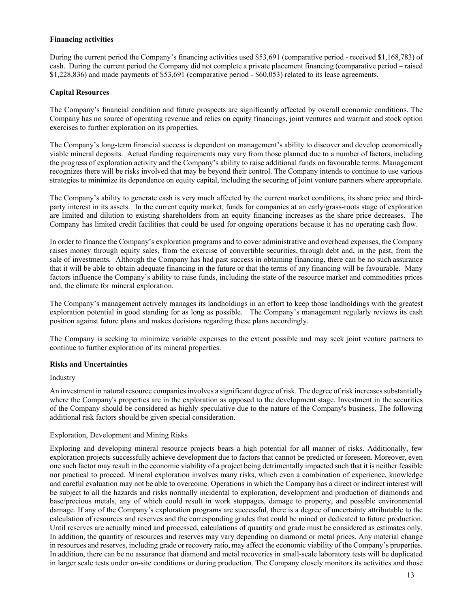#### **Financing activities**

During the current period the Company's financing activities used \$53,691 (comparative period - received \$1,168,783) of cash. During the current period the Company did not complete a private placement financing (comparative period – raised \$1,228,836) and made payments of \$53,691 (comparative period - \$60,053) related to its lease agreements.

### **Capital Resources**

The Company's financial condition and future prospects are significantly affected by overall economic conditions. The Company has no source of operating revenue and relies on equity financings, joint ventures and warrant and stock option exercises to further exploration on its properties.

The Company's long-term financial success is dependent on management's ability to discover and develop economically viable mineral deposits. Actual funding requirements may vary from those planned due to a number of factors, including the progress of exploration activity and the Company's ability to raise additional funds on favourable terms. Management recognizes there will be risks involved that may be beyond their control. The Company intends to continue to use various strategies to minimize its dependence on equity capital, including the securing of joint venture partners where appropriate.

The Company's ability to generate cash is very much affected by the current market conditions, its share price and thirdparty interest in its assets. In the current equity market, funds for companies at an early/grass-roots stage of exploration are limited and dilution to existing shareholders from an equity financing increases as the share price decreases. The Company has limited credit facilities that could be used for ongoing operations because it has no operating cash flow.

In order to finance the Company's exploration programs and to cover administrative and overhead expenses, the Company raises money through equity sales, from the exercise of convertible securities, through debt and, in the past, from the sale of investments. Although the Company has had past success in obtaining financing, there can be no such assurance that it will be able to obtain adequate financing in the future or that the terms of any financing will be favourable. Many factors influence the Company's ability to raise funds, including the state of the resource market and commodities prices and, the climate for mineral exploration.

The Company's management actively manages its landholdings in an effort to keep those landholdings with the greatest exploration potential in good standing for as long as possible. The Company's management regularly reviews its cash position against future plans and makes decisions regarding these plans accordingly.

The Company is seeking to minimize variable expenses to the extent possible and may seek joint venture partners to continue to further exploration of its mineral properties.

### **Risks and Uncertainties**

Industry

An investment in natural resource companies involves a significant degree of risk. The degree of risk increases substantially where the Company's properties are in the exploration as opposed to the development stage. Investment in the securities of the Company should be considered as highly speculative due to the nature of the Company's business. The following additional risk factors should be given special consideration.

### Exploration, Development and Mining Risks

Exploring and developing mineral resource projects bears a high potential for all manner of risks. Additionally, few exploration projects successfully achieve development due to factors that cannot be predicted or foreseen. Moreover, even one such factor may result in the economic viability of a project being detrimentally impacted such that it is neither feasible nor practical to proceed. Mineral exploration involves many risks, which even a combination of experience, knowledge and careful evaluation may not be able to overcome. Operations in which the Company has a direct or indirect interest will be subject to all the hazards and risks normally incidental to exploration, development and production of diamonds and base/precious metals, any of which could result in work stoppages, damage to property, and possible environmental damage. If any of the Company's exploration programs are successful, there is a degree of uncertainty attributable to the calculation of resources and reserves and the corresponding grades that could be mined or dedicated to future production. Until reserves are actually mined and processed, calculations of quantity and grade must be considered as estimates only. In addition, the quantity of resources and reserves may vary depending on diamond or metal prices. Any material change in resources and reserves, including grade or recovery ratio, may affect the economic viability of the Company's properties. In addition, there can be no assurance that diamond and metal recoveries in small-scale laboratory tests will be duplicated in larger scale tests under on-site conditions or during production. The Company closely monitors its activities and those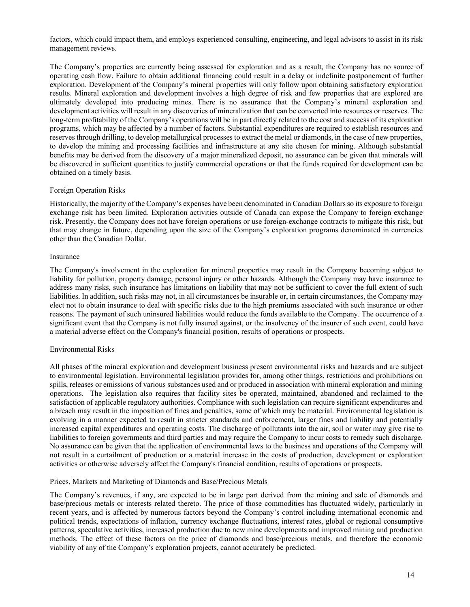factors, which could impact them, and employs experienced consulting, engineering, and legal advisors to assist in its risk management reviews.

The Company's properties are currently being assessed for exploration and as a result, the Company has no source of operating cash flow. Failure to obtain additional financing could result in a delay or indefinite postponement of further exploration. Development of the Company's mineral properties will only follow upon obtaining satisfactory exploration results. Mineral exploration and development involves a high degree of risk and few properties that are explored are ultimately developed into producing mines. There is no assurance that the Company's mineral exploration and development activities will result in any discoveries of mineralization that can be converted into resources or reserves. The long-term profitability of the Company's operations will be in part directly related to the cost and success of its exploration programs, which may be affected by a number of factors. Substantial expenditures are required to establish resources and reserves through drilling, to develop metallurgical processes to extract the metal or diamonds, in the case of new properties, to develop the mining and processing facilities and infrastructure at any site chosen for mining. Although substantial benefits may be derived from the discovery of a major mineralized deposit, no assurance can be given that minerals will be discovered in sufficient quantities to justify commercial operations or that the funds required for development can be obtained on a timely basis.

### Foreign Operation Risks

Historically, the majority of the Company's expenses have been denominated in Canadian Dollars so its exposure to foreign exchange risk has been limited. Exploration activities outside of Canada can expose the Company to foreign exchange risk. Presently, the Company does not have foreign operations or use foreign-exchange contracts to mitigate this risk, but that may change in future, depending upon the size of the Company's exploration programs denominated in currencies other than the Canadian Dollar.

#### Insurance

The Company's involvement in the exploration for mineral properties may result in the Company becoming subject to liability for pollution, property damage, personal injury or other hazards. Although the Company may have insurance to address many risks, such insurance has limitations on liability that may not be sufficient to cover the full extent of such liabilities. In addition, such risks may not, in all circumstances be insurable or, in certain circumstances, the Company may elect not to obtain insurance to deal with specific risks due to the high premiums associated with such insurance or other reasons. The payment of such uninsured liabilities would reduce the funds available to the Company. The occurrence of a significant event that the Company is not fully insured against, or the insolvency of the insurer of such event, could have a material adverse effect on the Company's financial position, results of operations or prospects.

### Environmental Risks

All phases of the mineral exploration and development business present environmental risks and hazards and are subject to environmental legislation. Environmental legislation provides for, among other things, restrictions and prohibitions on spills, releases or emissions of various substances used and or produced in association with mineral exploration and mining operations. The legislation also requires that facility sites be operated, maintained, abandoned and reclaimed to the satisfaction of applicable regulatory authorities. Compliance with such legislation can require significant expenditures and a breach may result in the imposition of fines and penalties, some of which may be material. Environmental legislation is evolving in a manner expected to result in stricter standards and enforcement, larger fines and liability and potentially increased capital expenditures and operating costs. The discharge of pollutants into the air, soil or water may give rise to liabilities to foreign governments and third parties and may require the Company to incur costs to remedy such discharge. No assurance can be given that the application of environmental laws to the business and operations of the Company will not result in a curtailment of production or a material increase in the costs of production, development or exploration activities or otherwise adversely affect the Company's financial condition, results of operations or prospects.

#### Prices, Markets and Marketing of Diamonds and Base/Precious Metals

The Company's revenues, if any, are expected to be in large part derived from the mining and sale of diamonds and base/precious metals or interests related thereto. The price of those commodities has fluctuated widely, particularly in recent years, and is affected by numerous factors beyond the Company's control including international economic and political trends, expectations of inflation, currency exchange fluctuations, interest rates, global or regional consumptive patterns, speculative activities, increased production due to new mine developments and improved mining and production methods. The effect of these factors on the price of diamonds and base/precious metals, and therefore the economic viability of any of the Company's exploration projects, cannot accurately be predicted.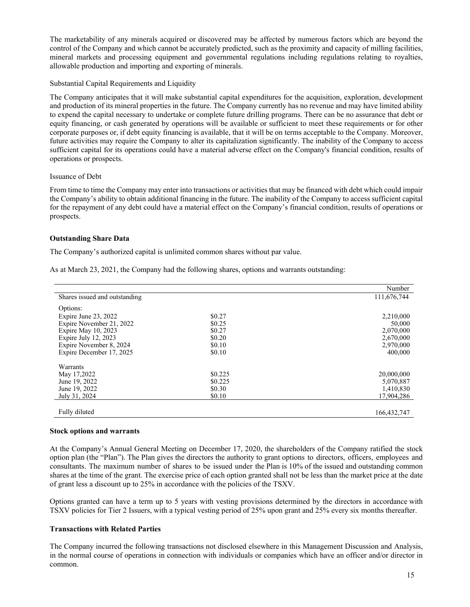The marketability of any minerals acquired or discovered may be affected by numerous factors which are beyond the control of the Company and which cannot be accurately predicted, such as the proximity and capacity of milling facilities, mineral markets and processing equipment and governmental regulations including regulations relating to royalties, allowable production and importing and exporting of minerals.

### Substantial Capital Requirements and Liquidity

The Company anticipates that it will make substantial capital expenditures for the acquisition, exploration, development and production of its mineral properties in the future. The Company currently has no revenue and may have limited ability to expend the capital necessary to undertake or complete future drilling programs. There can be no assurance that debt or equity financing, or cash generated by operations will be available or sufficient to meet these requirements or for other corporate purposes or, if debt equity financing is available, that it will be on terms acceptable to the Company. Moreover, future activities may require the Company to alter its capitalization significantly. The inability of the Company to access sufficient capital for its operations could have a material adverse effect on the Company's financial condition, results of operations or prospects.

#### Issuance of Debt

From time to time the Company may enter into transactions or activities that may be financed with debt which could impair the Company's ability to obtain additional financing in the future. The inability of the Company to access sufficient capital for the repayment of any debt could have a material effect on the Company's financial condition, results of operations or prospects.

### **Outstanding Share Data**

The Company's authorized capital is unlimited common shares without par value.

As at March 23, 2021, the Company had the following shares, options and warrants outstanding:

|                               |         | Number        |
|-------------------------------|---------|---------------|
| Shares issued and outstanding |         | 111,676,744   |
| Options:                      |         |               |
| Expire June 23, 2022          | \$0.27  | 2,210,000     |
| Expire November 21, 2022      | \$0.25  | 50,000        |
| Expire May 10, 2023           | \$0.27  | 2,070,000     |
| Expire July 12, 2023          | \$0.20  | 2,670,000     |
| Expire November 8, 2024       | \$0.10  | 2,970,000     |
| Expire December 17, 2025      | \$0.10  | 400,000       |
| Warrants                      |         |               |
| May 17,2022                   | \$0.225 | 20,000,000    |
| June 19, 2022                 | \$0.225 | 5,070,887     |
| June 19, 2022                 | \$0.30  | 1,410,830     |
| July 31, 2024                 | \$0.10  | 17,904,286    |
|                               |         |               |
| Fully diluted                 |         | 166, 432, 747 |

#### **Stock options and warrants**

At the Company's Annual General Meeting on December 17, 2020, the shareholders of the Company ratified the stock option plan (the "Plan"). The Plan gives the directors the authority to grant options to directors, officers, employees and consultants. The maximum number of shares to be issued under the Plan is 10% of the issued and outstanding common shares at the time of the grant. The exercise price of each option granted shall not be less than the market price at the date of grant less a discount up to 25% in accordance with the policies of the TSXV.

Options granted can have a term up to 5 years with vesting provisions determined by the directors in accordance with TSXV policies for Tier 2 Issuers, with a typical vesting period of 25% upon grant and 25% every six months thereafter.

### **Transactions with Related Parties**

The Company incurred the following transactions not disclosed elsewhere in this Management Discussion and Analysis, in the normal course of operations in connection with individuals or companies which have an officer and/or director in common.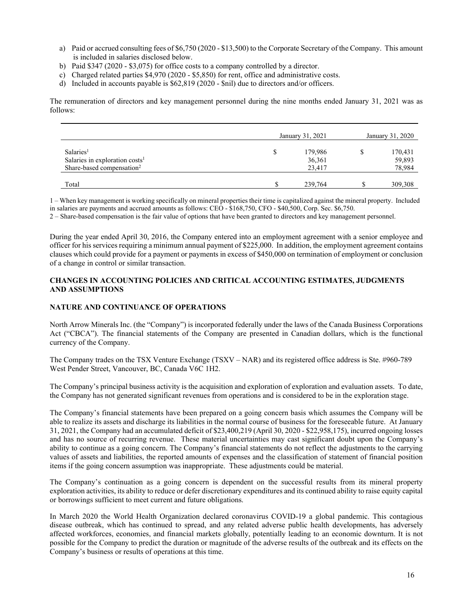- a) Paid or accrued consulting fees of \$6,750 (2020 \$13,500) to the Corporate Secretary of the Company. This amount is included in salaries disclosed below.
- b) Paid \$347 (2020 \$3,075) for office costs to a company controlled by a director.
- c) Charged related parties \$4,970 (2020 \$5,850) for rent, office and administrative costs.
- d) Included in accounts payable is \$62,819 (2020 \$nil) due to directors and/or officers.

The remuneration of directors and key management personnel during the nine months ended January 31, 2021 was as follows:

|                                            | January 31, 2021 |         |  | January 31, 2020 |  |  |
|--------------------------------------------|------------------|---------|--|------------------|--|--|
| Salaries <sup>1</sup>                      | S                | 179,986 |  | 170,431          |  |  |
| Salaries in exploration costs <sup>1</sup> |                  | 36,361  |  | 59,893           |  |  |
| Share-based compensation <sup>2</sup>      |                  | 23,417  |  | 78,984           |  |  |
|                                            |                  |         |  |                  |  |  |
| Total                                      |                  | 239,764 |  | 309,308          |  |  |

1 – When key management is working specifically on mineral properties their time is capitalized against the mineral property. Included in salaries are payments and accrued amounts as follows: CEO - \$168,750, CFO - \$40,500, Corp. Sec. \$6,750.

2 – Share-based compensation is the fair value of options that have been granted to directors and key management personnel.

During the year ended April 30, 2016, the Company entered into an employment agreement with a senior employee and officer for his services requiring a minimum annual payment of \$225,000. In addition, the employment agreement contains clauses which could provide for a payment or payments in excess of \$450,000 on termination of employment or conclusion of a change in control or similar transaction.

### **CHANGES IN ACCOUNTING POLICIES AND CRITICAL ACCOUNTING ESTIMATES, JUDGMENTS AND ASSUMPTIONS**

### **NATURE AND CONTINUANCE OF OPERATIONS**

North Arrow Minerals Inc. (the "Company") is incorporated federally under the laws of the Canada Business Corporations Act ("CBCA"). The financial statements of the Company are presented in Canadian dollars, which is the functional currency of the Company.

The Company trades on the TSX Venture Exchange (TSXV – NAR) and its registered office address is Ste. #960-789 West Pender Street, Vancouver, BC, Canada V6C 1H2.

The Company's principal business activity is the acquisition and exploration of exploration and evaluation assets. To date, the Company has not generated significant revenues from operations and is considered to be in the exploration stage.

The Company's financial statements have been prepared on a going concern basis which assumes the Company will be able to realize its assets and discharge its liabilities in the normal course of business for the foreseeable future. At January 31, 2021, the Company had an accumulated deficit of \$23,400,219 (April 30, 2020 - \$22,958,175), incurred ongoing losses and has no source of recurring revenue. These material uncertainties may cast significant doubt upon the Company's ability to continue as a going concern. The Company's financial statements do not reflect the adjustments to the carrying values of assets and liabilities, the reported amounts of expenses and the classification of statement of financial position items if the going concern assumption was inappropriate. These adjustments could be material.

The Company's continuation as a going concern is dependent on the successful results from its mineral property exploration activities, its ability to reduce or defer discretionary expenditures and its continued ability to raise equity capital or borrowings sufficient to meet current and future obligations.

In March 2020 the World Health Organization declared coronavirus COVID-19 a global pandemic. This contagious disease outbreak, which has continued to spread, and any related adverse public health developments, has adversely affected workforces, economies, and financial markets globally, potentially leading to an economic downturn. It is not possible for the Company to predict the duration or magnitude of the adverse results of the outbreak and its effects on the Company's business or results of operations at this time.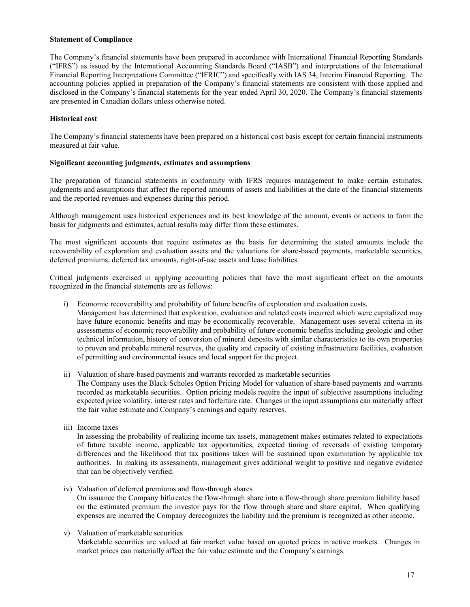### **Statement of Compliance**

The Company's financial statements have been prepared in accordance with International Financial Reporting Standards ("IFRS") as issued by the International Accounting Standards Board ("IASB") and interpretations of the International Financial Reporting Interpretations Committee ("IFRIC") and specifically with IAS 34, Interim Financial Reporting. The accounting policies applied in preparation of the Company's financial statements are consistent with those applied and disclosed in the Company's financial statements for the year ended April 30, 2020. The Company's financial statements are presented in Canadian dollars unless otherwise noted.

### **Historical cost**

The Company's financial statements have been prepared on a historical cost basis except for certain financial instruments measured at fair value.

### **Significant accounting judgments, estimates and assumptions**

The preparation of financial statements in conformity with IFRS requires management to make certain estimates, judgments and assumptions that affect the reported amounts of assets and liabilities at the date of the financial statements and the reported revenues and expenses during this period.

Although management uses historical experiences and its best knowledge of the amount, events or actions to form the basis for judgments and estimates, actual results may differ from these estimates.

The most significant accounts that require estimates as the basis for determining the stated amounts include the recoverability of exploration and evaluation assets and the valuations for share-based payments, marketable securities, deferred premiums, deferred tax amounts, right-of-use assets and lease liabilities.

Critical judgments exercised in applying accounting policies that have the most significant effect on the amounts recognized in the financial statements are as follows:

- i) Economic recoverability and probability of future benefits of exploration and evaluation costs*.*  Management has determined that exploration, evaluation and related costs incurred which were capitalized may have future economic benefits and may be economically recoverable. Management uses several criteria in its assessments of economic recoverability and probability of future economic benefits including geologic and other technical information, history of conversion of mineral deposits with similar characteristics to its own properties
- to proven and probable mineral reserves, the quality and capacity of existing infrastructure facilities, evaluation of permitting and environmental issues and local support for the project.
- ii) Valuation of share-based payments and warrants recorded as marketable securities The Company uses the Black-Scholes Option Pricing Model for valuation of share-based payments and warrants recorded as marketable securities. Option pricing models require the input of subjective assumptions including expected price volatility, interest rates and forfeiture rate. Changes in the input assumptions can materially affect the fair value estimate and Company's earnings and equity reserves.
- iii) Income taxes

In assessing the probability of realizing income tax assets, management makes estimates related to expectations of future taxable income, applicable tax opportunities, expected timing of reversals of existing temporary differences and the likelihood that tax positions taken will be sustained upon examination by applicable tax authorities. In making its assessments, management gives additional weight to positive and negative evidence that can be objectively verified.

- iv) Valuation of deferred premiums and flow-through shares On issuance the Company bifurcates the flow-through share into a flow-through share premium liability based on the estimated premium the investor pays for the flow through share and share capital. When qualifying expenses are incurred the Company derecognizes the liability and the premium is recognized as other income.
- v) Valuation of marketable securities Marketable securities are valued at fair market value based on quoted prices in active markets. Changes in market prices can materially affect the fair value estimate and the Company's earnings.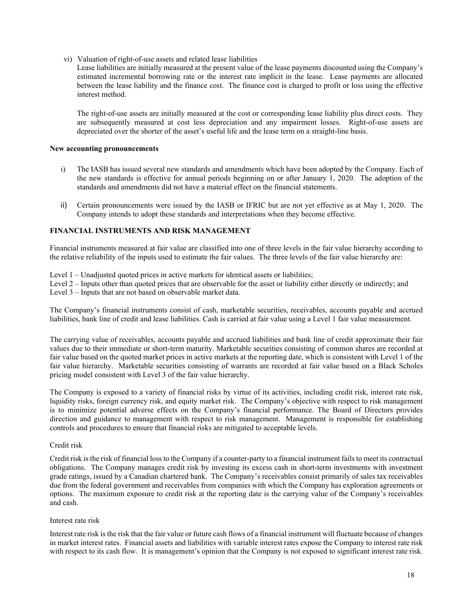vi) Valuation of right-of-use assets and related lease liabilities

Lease liabilities are initially measured at the present value of the lease payments discounted using the Company's estimated incremental borrowing rate or the interest rate implicit in the lease. Lease payments are allocated between the lease liability and the finance cost. The finance cost is charged to profit or loss using the effective interest method.

The right-of-use assets are initially measured at the cost or corresponding lease liability plus direct costs. They are subsequently measured at cost less depreciation and any impairment losses. Right-of-use assets are depreciated over the shorter of the asset's useful life and the lease term on a straight-line basis.

### **New accounting pronouncements**

- i) The IASB has issued several new standards and amendments which have been adopted by the Company. Each of the new standards is effective for annual periods beginning on or after January 1, 2020. The adoption of the standards and amendments did not have a material effect on the financial statements.
- ii) Certain pronouncements were issued by the IASB or IFRIC but are not yet effective as at May 1, 2020. The Company intends to adopt these standards and interpretations when they become effective.

### **FINANCIAL INSTRUMENTS AND RISK MANAGEMENT**

Financial instruments measured at fair value are classified into one of three levels in the fair value hierarchy according to the relative reliability of the inputs used to estimate the fair values. The three levels of the fair value hierarchy are:

Level 1 – Unadjusted quoted prices in active markets for identical assets or liabilities;

Level 2 – Inputs other than quoted prices that are observable for the asset or liability either directly or indirectly; and Level 3 – Inputs that are not based on observable market data.

The Company's financial instruments consist of cash, marketable securities, receivables, accounts payable and accrued liabilities, bank line of credit and lease liabilities. Cash is carried at fair value using a Level 1 fair value measurement.

The carrying value of receivables, accounts payable and accrued liabilities and bank line of credit approximate their fair values due to their immediate or short-term maturity. Marketable securities consisting of common shares are recorded at fair value based on the quoted market prices in active markets at the reporting date, which is consistent with Level 1 of the fair value hierarchy. Marketable securities consisting of warrants are recorded at fair value based on a Black Scholes pricing model consistent with Level 3 of the fair value hierarchy.

The Company is exposed to a variety of financial risks by virtue of its activities, including credit risk, interest rate risk, liquidity risks, foreign currency risk, and equity market risk. The Company's objective with respect to risk management is to minimize potential adverse effects on the Company's financial performance. The Board of Directors provides direction and guidance to management with respect to risk management. Management is responsible for establishing controls and procedures to ensure that financial risks are mitigated to acceptable levels.

#### Credit risk

Credit risk is the risk of financial loss to the Company if a counter-party to a financial instrument fails to meet its contractual obligations. The Company manages credit risk by investing its excess cash in short-term investments with investment grade ratings, issued by a Canadian chartered bank. The Company's receivables consist primarily of sales tax receivables due from the federal government and receivables from companies with which the Company has exploration agreements or options. The maximum exposure to credit risk at the reporting date is the carrying value of the Company's receivables and cash.

#### Interest rate risk

Interest rate risk is the risk that the fair value or future cash flows of a financial instrument will fluctuate because of changes in market interest rates. Financial assets and liabilities with variable interest rates expose the Company to interest rate risk with respect to its cash flow. It is management's opinion that the Company is not exposed to significant interest rate risk.